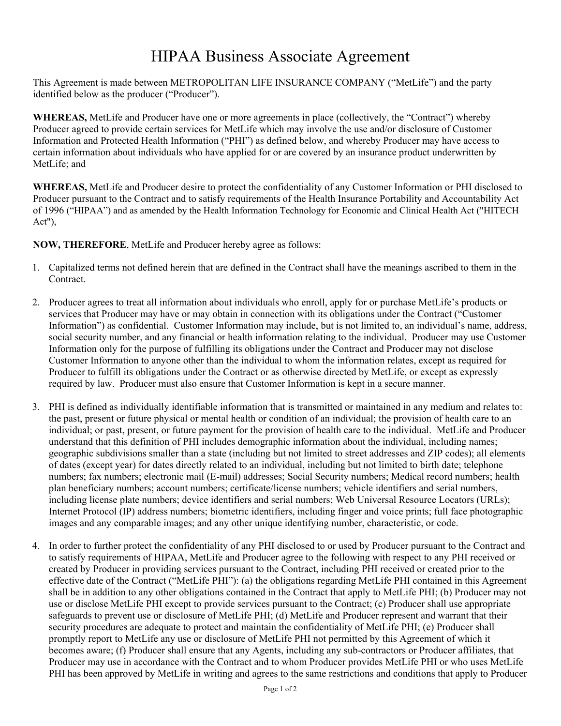## HIPAA Business Associate Agreement

This Agreement is made between METROPOLITAN LIFE INSURANCE COMPANY ("MetLife") and the party identified below as the producer ("Producer").

**WHEREAS,** MetLife and Producer have one or more agreements in place (collectively, the "Contract") whereby Producer agreed to provide certain services for MetLife which may involve the use and/or disclosure of Customer Information and Protected Health Information ("PHI") as defined below, and whereby Producer may have access to certain information about individuals who have applied for or are covered by an insurance product underwritten by MetLife; and

**WHEREAS,** MetLife and Producer desire to protect the confidentiality of any Customer Information or PHI disclosed to Producer pursuant to the Contract and to satisfy requirements of the Health Insurance Portability and Accountability Act of 1996 ("HIPAA") and as amended by the Health Information Technology for Economic and Clinical Health Act ("HITECH Act"),

**NOW, THEREFORE**, MetLife and Producer hereby agree as follows:

- 1. Capitalized terms not defined herein that are defined in the Contract shall have the meanings ascribed to them in the Contract.
- 2. Producer agrees to treat all information about individuals who enroll, apply for or purchase MetLife's products or services that Producer may have or may obtain in connection with its obligations under the Contract ("Customer Information") as confidential. Customer Information may include, but is not limited to, an individual's name, address, social security number, and any financial or health information relating to the individual. Producer may use Customer Information only for the purpose of fulfilling its obligations under the Contract and Producer may not disclose Customer Information to anyone other than the individual to whom the information relates, except as required for Producer to fulfill its obligations under the Contract or as otherwise directed by MetLife, or except as expressly required by law. Producer must also ensure that Customer Information is kept in a secure manner.
- 3. PHI is defined as individually identifiable information that is transmitted or maintained in any medium and relates to: the past, present or future physical or mental health or condition of an individual; the provision of health care to an individual; or past, present, or future payment for the provision of health care to the individual. MetLife and Producer understand that this definition of PHI includes demographic information about the individual, including names; geographic subdivisions smaller than a state (including but not limited to street addresses and ZIP codes); all elements of dates (except year) for dates directly related to an individual, including but not limited to birth date; telephone numbers; fax numbers; electronic mail (E-mail) addresses; Social Security numbers; Medical record numbers; health plan beneficiary numbers; account numbers; certificate/license numbers; vehicle identifiers and serial numbers, including license plate numbers; device identifiers and serial numbers; Web Universal Resource Locators (URLs); Internet Protocol (IP) address numbers; biometric identifiers, including finger and voice prints; full face photographic images and any comparable images; and any other unique identifying number, characteristic, or code.
- 4. In order to further protect the confidentiality of any PHI disclosed to or used by Producer pursuant to the Contract and to satisfy requirements of HIPAA, MetLife and Producer agree to the following with respect to any PHI received or created by Producer in providing services pursuant to the Contract, including PHI received or created prior to the effective date of the Contract ("MetLife PHI"): (a) the obligations regarding MetLife PHI contained in this Agreement shall be in addition to any other obligations contained in the Contract that apply to MetLife PHI; (b) Producer may not use or disclose MetLife PHI except to provide services pursuant to the Contract; (c) Producer shall use appropriate safeguards to prevent use or disclosure of MetLife PHI; (d) MetLife and Producer represent and warrant that their security procedures are adequate to protect and maintain the confidentiality of MetLife PHI; (e) Producer shall promptly report to MetLife any use or disclosure of MetLife PHI not permitted by this Agreement of which it becomes aware; (f) Producer shall ensure that any Agents, including any sub-contractors or Producer affiliates, that Producer may use in accordance with the Contract and to whom Producer provides MetLife PHI or who uses MetLife PHI has been approved by MetLife in writing and agrees to the same restrictions and conditions that apply to Producer